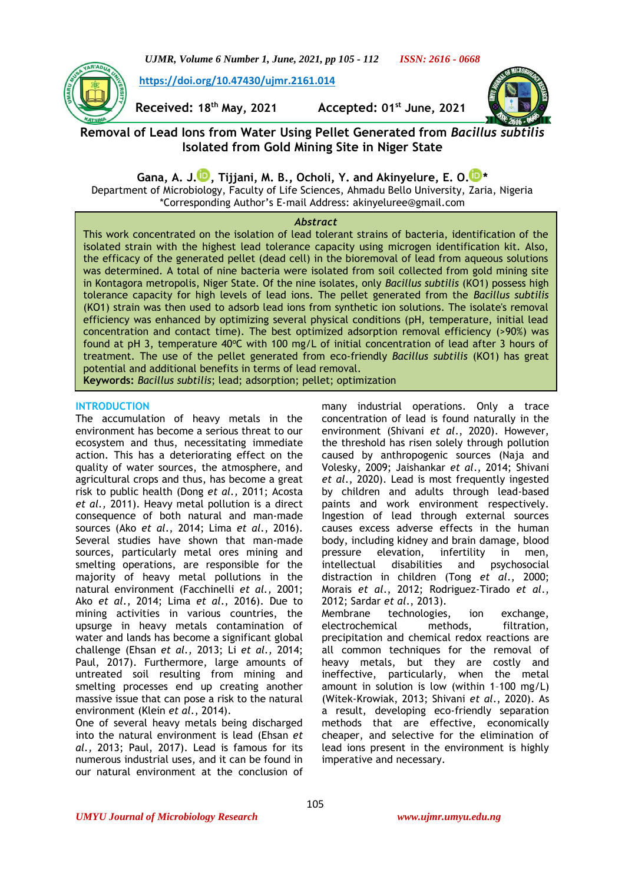

**[https://doi.org/10.47430/ujmr.2161.014](https://doi.org/10.47430/ujmr.2052.001)**

**Received: 18th May, 2021 Accepted: 01st June, 2021**



# **Removal of Lead Ions from Water Using Pellet Generated from** *Bacillus subtilis* **Isolated from Gold Mining Site in Niger State**

**Gana, A. J. [,](https://orcid.org/0000-0002-0934-3515) Tijjani, M. B., Ocholi, Y. and Akinyelure, E. O[.](https://orcid.org/0000-0001-9252-3404) \***

Department of Microbiology, Faculty of Life Sciences, Ahmadu Bello University, Zaria, Nigeria \*Corresponding Author's E-mail Address: [akinyeluree@gmail.com](mailto:akinyeluree@gmail.com)

### *Abstract*

This work concentrated on the isolation of lead tolerant strains of bacteria, identification of the isolated strain with the highest lead tolerance capacity using microgen identification kit. Also, the efficacy of the generated pellet (dead cell) in the bioremoval of lead from aqueous solutions was determined. A total of nine bacteria were isolated from soil collected from gold mining site in Kontagora metropolis, Niger State. Of the nine isolates, only *Bacillus subtilis* (KO1) possess high tolerance capacity for high levels of lead ions. The pellet generated from the *Bacillus subtilis* (KO1) strain was then used to adsorb lead ions from synthetic ion solutions. The isolate's removal efficiency was enhanced by optimizing several physical conditions (pH, temperature, initial lead concentration and contact time). The best optimized adsorption removal efficiency (>90%) was found at pH 3, temperature  $40^{\circ}$ C with 100 mg/L of initial concentration of lead after 3 hours of treatment. The use of the pellet generated from eco-friendly *Bacillus subtilis* (KO1) has great potential and additional benefits in terms of lead removal.

**Keywords:** *Bacillus subtilis*; lead; adsorption; pellet; optimization

### **INTRODUCTION**

The accumulation of heavy metals in the environment has become a serious threat to our ecosystem and thus, necessitating immediate action. This has a deteriorating effect on the quality of water sources, the atmosphere, and agricultural crops and thus, has become a great risk to public health (Dong *et al.,* 2011; Acosta *et al.,* 2011). Heavy metal pollution is a direct consequence of both natural and man-made sources (Ako *et al*[., 2014;](#page-5-0) Lima *et al*[., 2016\)](#page-6-0). Several studies have shown that man-made sources, particularly metal ores mining and smelting operations, are responsible for the majority of heavy metal pollutions in the natural environment (Facchinelli *et al.,* 2001; Ako *et al*[., 2014;](#page-5-0) Lima *et al*[., 2016\)](#page-6-0). Due to mining activities in various countries, the upsurge in heavy metals contamination of water and lands has become a significant global challenge (Ehsan *et al.,* 2013; Li *et al.,* 2014; Paul, 2017). Furthermore, large amounts of untreated soil resulting from mining and smelting processes end up creating another massive issue that can pose a risk to the natural environment (Klein *et al*., 2014).

One of several heavy metals being discharged into the natural environment is lead (Ehsan *et al.,* 2013; Paul, 2017). Lead is famous for its numerous industrial uses, and it can be found in our natural environment at the conclusion of many industrial operations. Only a trace concentration of lead is found naturally in the environment (Shivani *et al*., 2020). However, the threshold has risen solely through pollution caused by anthropogenic sources (Naja and Volesky, 2009; Jaishankar *et al*., 2014; Shivani *et al*., 2020). Lead is most frequently ingested by children and adults through lead-based paints and work environment respectively. Ingestion of lead through external sources causes excess adverse effects in the human body, including kidney and brain damage, blood pressure elevation, infertility in men, intellectual disabilities and psychosocial distraction in children (Tong *et al*., 2000; Morais *et al*., 2012; Rodriguez-Tirado *et al*., 2012; Sardar *et al*., 2013). Membrane technologies, ion exchange, electrochemical methods, filtration, precipitation and chemical redox reactions are all common techniques for the removal of heavy metals, but they are costly and ineffective, particularly, when the metal amount in solution is low (within 1–100 mg/L) (Witek-Krowiak, 2013; Shivani *et al*., 2020). As

a result, developing eco-friendly separation methods that are effective, economically cheaper, and selective for the elimination of lead ions present in the environment is highly imperative and necessary.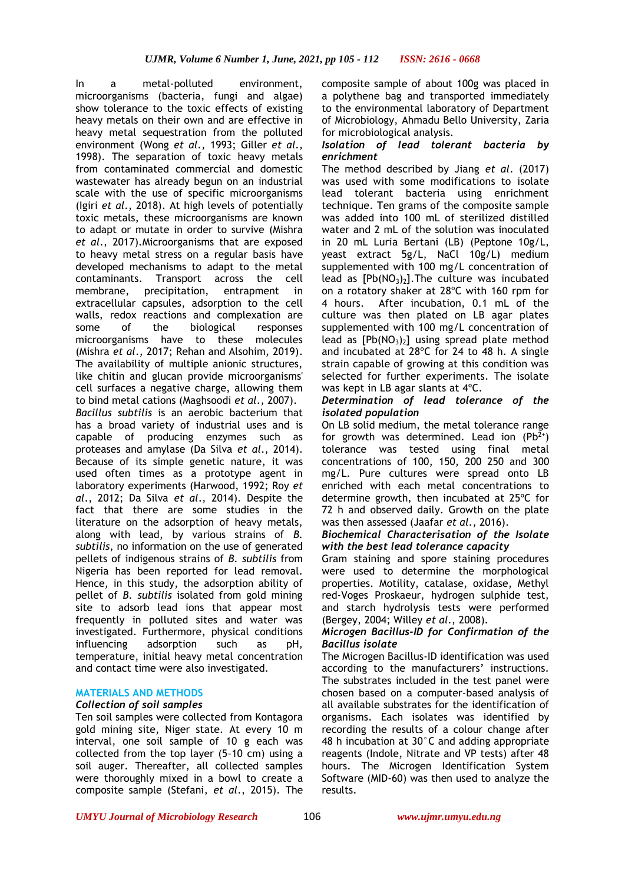In a metal-polluted environment, microorganisms (bacteria, fungi and algae) show tolerance to the toxic effects of existing heavy metals on their own and are effective in heavy metal sequestration from the polluted environment (Wong *et al*., 1993; Giller *et al*., 1998). The separation of toxic heavy metals from contaminated commercial and domestic wastewater has already begun on an industrial scale with the use of specific microorganisms (Igiri *et al*., 2018). At high levels of potentially toxic metals, these microorganisms are known to adapt or mutate in order to survive (Mishra *et al*., 2017).Microorganisms that are exposed to heavy metal stress on a regular basis have developed mechanisms to adapt to the metal contaminants. Transport across the cell membrane, precipitation, entrapment in extracellular capsules, adsorption to the cell walls, redox reactions and complexation are some of the biological responses microorganisms have to these molecules (Mishra *et al*., 2017; Rehan and Alsohim, 2019). The availability of multiple anionic structures, like chitin and glucan provide microorganisms' cell surfaces a negative charge, allowing them to bind metal cations (Maghsoodi *et al*., 2007). *Bacillus subtilis* is an aerobic bacterium that has a broad variety of industrial uses and is capable of producing enzymes such as proteases and amylase (Da Silva *et al*., 2014). Because of its simple genetic nature, it was used often times as a prototype agent in laboratory experiments (Harwood, 1992; Roy *et al*., 2012; Da Silva *et al*., 2014). Despite the fact that there are some studies in the literature on the adsorption of heavy metals, along with lead, by various strains of *B. subtilis*, no information on the use of generated pellets of indigenous strains of *B. subtilis* from Nigeria has been reported for lead removal. Hence, in this study, the adsorption ability of pellet of *B. subtilis* isolated from gold mining site to adsorb lead ions that appear most frequently in polluted sites and water was investigated. Furthermore, physical conditions influencing adsorption such as pH, temperature, initial heavy metal concentration and contact time were also investigated.

### **MATERIALS AND METHODS**

## *Collection of soil samples*

Ten soil samples were collected from Kontagora gold mining site, Niger state. At every 10 m interval, one soil sample of 10 g each was collected from the top layer (5–10 cm) using a soil auger. Thereafter, all collected samples were thoroughly mixed in a bowl to create a composite sample (Stefani, *et al*., 2015). The

composite sample of about 100g was placed in a polythene bag and transported immediately to the environmental laboratory of Department of Microbiology, Ahmadu Bello University, Zaria for microbiological analysis.

### *Isolation of lead tolerant bacteria by enrichment*

The method described by Jiang *et al*. (2017) was used with some modifications to isolate lead tolerant bacteria using enrichment technique. Ten grams of the composite sample was added into 100 mL of sterilized distilled water and 2 mL of the solution was inoculated in 20 mL Luria Bertani (LB) (Peptone 10g/L, yeast extract 5g/L, NaCl 10g/L) medium supplemented with 100 mg/L concentration of lead as  $[Pb(NO<sub>3</sub>)<sub>2</sub>]$ . The culture was incubated on a rotatory shaker at 28ºC with 160 rpm for 4 hours. After incubation, 0.1 mL of the culture was then plated on LB agar plates supplemented with 100 mg/L concentration of lead as  $[Pb(NO<sub>3</sub>)<sub>2</sub>]$  using spread plate method and incubated at 28ºC for 24 to 48 h. A single strain capable of growing at this condition was selected for further experiments. The isolate was kept in LB agar slants at 4ºC.

#### *Determination of lead tolerance of the isolated population*

On LB solid medium, the metal tolerance range for growth was determined. Lead ion  $(Pb^{2+})$ tolerance was tested using final metal concentrations of 100, 150, 200 250 and 300 mg/L. Pure cultures were spread onto LB enriched with each metal concentrations to determine growth, then incubated at 25ºC for 72 h and observed daily. Growth on the plate was then assessed (Jaafar *et al*., 2016).

### *Biochemical Characterisation of the Isolate with the best lead tolerance capacity*

Gram staining and spore staining procedures were used to determine the morphological properties. Motility, catalase, oxidase, Methyl red-Voges Proskaeur, hydrogen sulphide test, and starch hydrolysis tests were performed (Bergey, 2004; Willey *et al*., 2008).

### *Microgen Bacillus-ID for Confirmation of the Bacillus isolate*

The Microgen Bacillus-ID identification was used according to the manufacturers' instructions. The substrates included in the test panel were chosen based on a computer-based analysis of all available substrates for the identification of organisms. Each isolates was identified by recording the results of a colour change after 48 h incubation at 30°C and adding appropriate reagents (Indole, Nitrate and VP tests) after 48 hours. The Microgen Identification System Software (MID-60) was then used to analyze the results.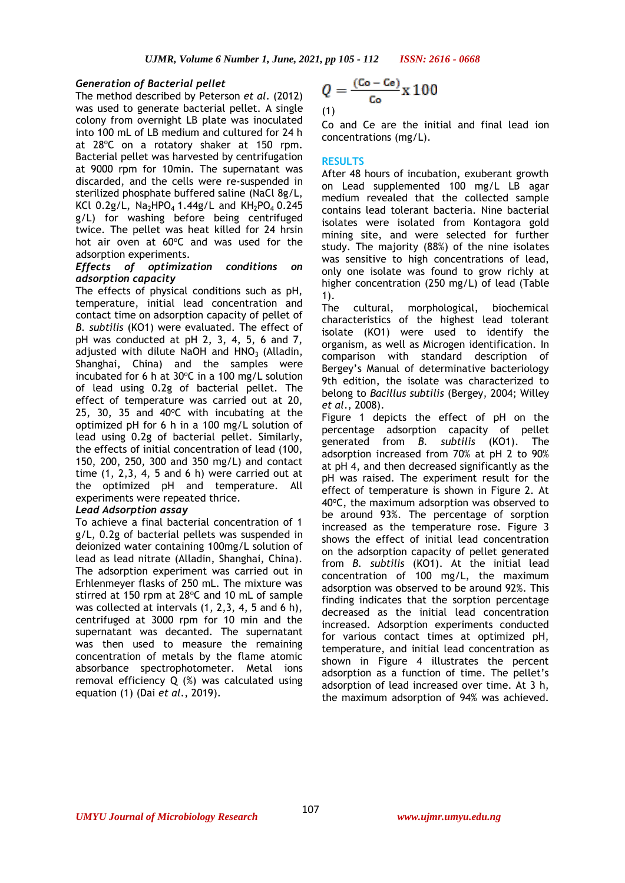### *Generation of Bacterial pellet*

The method described by Peterson *et al*. (2012) was used to generate bacterial pellet. A single colony from overnight LB plate was inoculated into 100 mL of LB medium and cultured for 24 h at 28°C on a rotatory shaker at 150 rpm. Bacterial pellet was harvested by centrifugation at 9000 rpm for 10min. The supernatant was discarded, and the cells were re-suspended in sterilized phosphate buffered saline (NaCl 8g/L, KCl 0.2g/L,  $Na<sub>2</sub>HPO<sub>4</sub> 1.44g/L$  and  $KH<sub>2</sub>PO<sub>4</sub> 0.245$ g/L) for washing before being centrifuged twice. The pellet was heat killed for 24 hrsin hot air oven at  $60^{\circ}$ C and was used for the adsorption experiments.

### *Effects of optimization conditions on adsorption capacity*

The effects of physical conditions such as pH, temperature, initial lead concentration and contact time on adsorption capacity of pellet of *B. subtilis* (KO1) were evaluated. The effect of pH was conducted at pH 2, 3, 4, 5, 6 and 7, adjusted with dilute NaOH and  $HNO<sub>3</sub>$  (Alladin, Shanghai, China) and the samples were incubated for 6 h at  $30^{\circ}$ C in a 100 mg/L solution of lead using 0.2g of bacterial pellet. The effect of temperature was carried out at 20, 25, 30, 35 and 40 $^{\circ}$ C with incubating at the optimized pH for 6 h in a 100 mg/L solution of lead using 0.2g of bacterial pellet. Similarly, the effects of initial concentration of lead (100, 150, 200, 250, 300 and 350 mg/L) and contact time (1, 2,3, 4, 5 and 6 h) were carried out at the optimized pH and temperature. All experiments were repeated thrice.

### *Lead Adsorption assay*

To achieve a final bacterial concentration of 1 g/L, 0.2g of bacterial pellets was suspended in deionized water containing 100mg/L solution of lead as lead nitrate (Alladin, Shanghai, China). The adsorption experiment was carried out in Erhlenmeyer flasks of 250 mL. The mixture was stirred at 150 rpm at  $28^{\circ}$ C and 10 mL of sample was collected at intervals (1, 2,3, 4, 5 and 6 h), centrifuged at 3000 rpm for 10 min and the supernatant was decanted. The supernatant was then used to measure the remaining concentration of metals by the flame atomic absorbance spectrophotometer. Metal ions removal efficiency Q (%) was calculated using equation (1) (Dai *et al*., 2019).

$$
Q = \frac{(Co - Ce)}{Co} \times 100
$$

Co and Ce are the initial and final lead ion concentrations (mg/L).

### **RESULTS**

After 48 hours of incubation, exuberant growth on Lead supplemented 100 mg/L LB agar medium revealed that the collected sample contains lead tolerant bacteria. Nine bacterial isolates were isolated from Kontagora gold mining site, and were selected for further study. The majority (88%) of the nine isolates was sensitive to high concentrations of lead, only one isolate was found to grow richly at higher concentration (250 mg/L) of lead (Table 1).

The cultural, morphological, biochemical characteristics of the highest lead tolerant isolate (KO1) were used to identify the organism, as well as Microgen identification. In comparison with standard description of Bergey's Manual of determinative bacteriology 9th edition, the isolate was characterized to belong to *Bacillus subtilis* (Bergey, 2004; Willey *et al*., 2008).

Figure 1 depicts the effect of pH on the percentage adsorption capacity of pellet generated from *B. subtilis* (KO1). The adsorption increased from 70% at pH 2 to 90% at pH 4, and then decreased significantly as the pH was raised. The experiment result for the effect of temperature is shown in Figure 2. At  $40^{\circ}$ C, the maximum adsorption was observed to be around 93%. The percentage of sorption increased as the temperature rose. Figure 3 shows the effect of initial lead concentration on the adsorption capacity of pellet generated from *B. subtilis* (KO1). At the initial lead concentration of 100 mg/L, the maximum adsorption was observed to be around 92%. This finding indicates that the sorption percentage decreased as the initial lead concentration increased. Adsorption experiments conducted for various contact times at optimized pH, temperature, and initial lead concentration as shown in Figure 4 illustrates the percent adsorption as a function of time. The pellet's adsorption of lead increased over time. At 3 h, the maximum adsorption of 94% was achieved.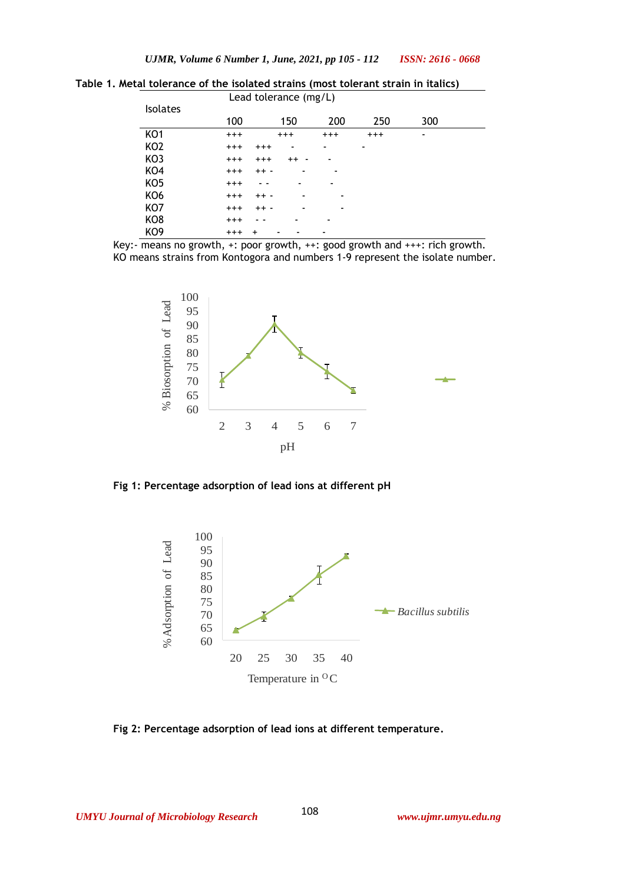|                 | Lead tolerance (mg/L) |                     |          |       |     |  |
|-----------------|-----------------------|---------------------|----------|-------|-----|--|
| <b>Isolates</b> | 100                   | 150                 | 200      | 250   | 300 |  |
| KO <sub>1</sub> | $^{+++}$              | $^{+++}$            | $^{+++}$ | $+++$ | ۰   |  |
| KO <sub>2</sub> | $^{+++}$              | $+++$<br>٠          | ۰        | ۰     |     |  |
| KO3             | $^{+++}$              | $^{+++}$<br>$^{++}$ |          |       |     |  |
| KO4             | $^{+++}$              | $++ -$              | ٠        |       |     |  |
| KO <sub>5</sub> | $^{+++}$              | - -                 |          |       |     |  |
| KO <sub>6</sub> | $^{+++}$              | $++ -$<br>٠         | ۰        |       |     |  |
| KO7             | $^{+++}$              | $++ -$<br>۰         | ۰        |       |     |  |
| KO <sub>8</sub> | $^{+++}$              | -                   |          |       |     |  |
| KO <sub>9</sub> | $^{+++}$<br>$\ddot{}$ |                     |          |       |     |  |

**Table 1. Metal tolerance of the isolated strains (most tolerant strain in italics)**

Key:- means no growth, +: poor growth, ++: good growth and +++: rich growth. KO means strains from Kontogora and numbers 1-9 represent the isolate number.



**Fig 1: Percentage adsorption of lead ions at different pH**



**Fig 2: Percentage adsorption of lead ions at different temperature.**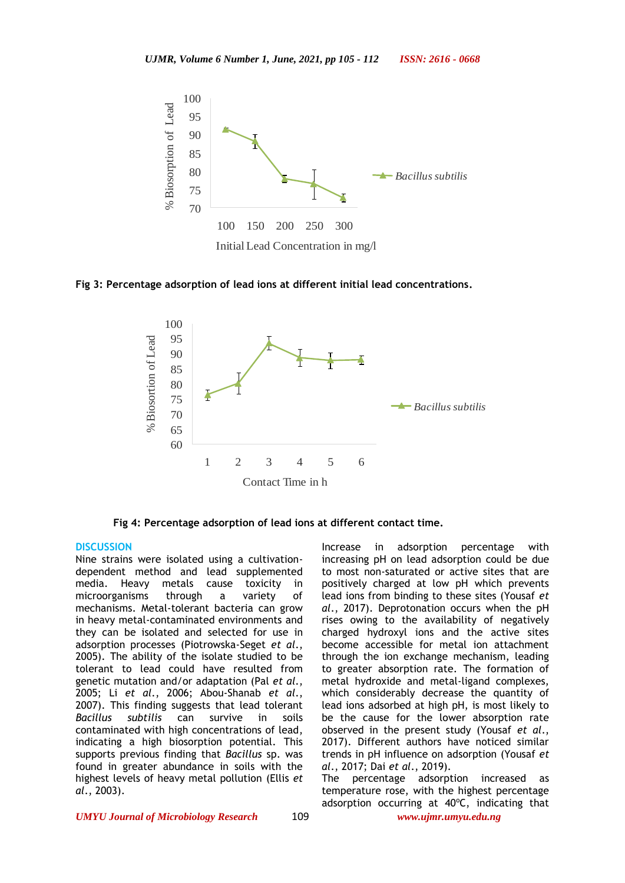

#### **Fig 3: Percentage adsorption of lead ions at different initial lead concentrations.**



**Fig 4: Percentage adsorption of lead ions at different contact time.**

#### **DISCUSSION**

Nine strains were isolated using a cultivationdependent method and lead supplemented media. Heavy metals cause toxicity in microorganisms through a variety of mechanisms. Metal-tolerant bacteria can grow in heavy metal-contaminated environments and they can be isolated and selected for use in adsorption processes (Piotrowska-Seget *et al*., 2005). The ability of the isolate studied to be tolerant to lead could have resulted from genetic mutation and/or adaptation (Pal *et al*., 2005; Li *et al*., 2006; Abou-Shanab *et al*., 2007). This finding suggests that lead tolerant *Bacillus subtilis* can survive in soils contaminated with high concentrations of lead, indicating a high biosorption potential. This supports previous finding that *Bacillus* sp. was found in greater abundance in soils with the highest levels of heavy metal pollution (Ellis *et al*., 2003).

Increase in adsorption percentage with increasing pH on lead adsorption could be due to most non-saturated or active sites that are positively charged at low pH which prevents lead ions from binding to these sites (Yousaf *et al*., 2017). Deprotonation occurs when the pH rises owing to the availability of negatively charged hydroxyl ions and the active sites become accessible for metal ion attachment through the ion exchange mechanism, leading to greater absorption rate. The formation of metal hydroxide and metal-ligand complexes, which considerably decrease the quantity of lead ions adsorbed at high pH, is most likely to be the cause for the lower absorption rate observed in the present study (Yousaf *et al*., 2017). Different authors have noticed similar trends in pH influence on adsorption (Yousaf *et al*., 2017; Dai *et al*., 2019).

The percentage adsorption increased as temperature rose, with the highest percentage adsorption occurring at  $40^{\circ}$ C, indicating that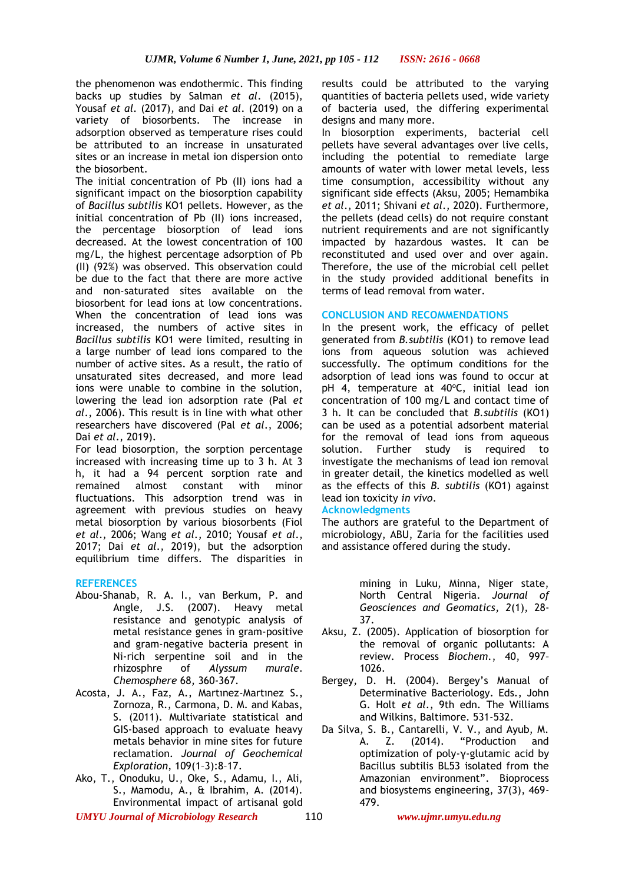the phenomenon was endothermic. This finding backs up studies by Salman *et al*. (2015), Yousaf *et al*. (2017), and Dai *et al*. (2019) on a variety of biosorbents. The increase in adsorption observed as temperature rises could be attributed to an increase in unsaturated sites or an increase in metal ion dispersion onto the biosorbent.

The initial concentration of Pb (II) ions had a significant impact on the biosorption capability of *Bacillus subtilis* KO1 pellets. However, as the initial concentration of Pb (II) ions increased, the percentage biosorption of lead ions decreased. At the lowest concentration of 100 mg/L, the highest percentage adsorption of Pb (II) (92%) was observed. This observation could be due to the fact that there are more active and non-saturated sites available on the biosorbent for lead ions at low concentrations. When the concentration of lead ions was increased, the numbers of active sites in *Bacillus subtilis* KO1 were limited, resulting in a large number of lead ions compared to the number of active sites. As a result, the ratio of unsaturated sites decreased, and more lead ions were unable to combine in the solution, lowering the lead ion adsorption rate (Pal *et al*., 2006). This result is in line with what other researchers have discovered (Pal *et al*., 2006; Dai *et al*., 2019).

For lead biosorption, the sorption percentage increased with increasing time up to 3 h. At 3 h, it had a 94 percent sorption rate and remained almost constant with minor fluctuations. This adsorption trend was in agreement with previous studies on heavy metal biosorption by various biosorbents (Fiol *et al*., 2006; Wang *et al*., 2010; Yousaf *et al*., 2017; Dai *et al*., 2019), but the adsorption equilibrium time differs. The disparities in

# **REFERENCES**

- Abou-Shanab, R. A. I., van Berkum, P. and Angle, J.S. (2007). Heavy metal resistance and genotypic analysis of metal resistance genes in gram-positive and gram-negative bacteria present in Ni-rich serpentine soil and in the rhizosphre of *Alyssum murale*. *Chemosphere* 68, 360-367.
- Acosta, J. A., Faz, A., Martınez-Martınez S., Zornoza, R., Carmona, D. M. and Kabas, S. (2011). Multivariate statistical and GIS-based approach to evaluate heavy metals behavior in mine sites for future reclamation. *Journal of Geochemical Exploration*, 109(1–3):8–17.
- <span id="page-5-0"></span>Ako, T., Onoduku, U., Oke, S., Adamu, I., Ali, S., Mamodu, A., & Ibrahim, A. (2014). Environmental impact of artisanal gold

*UMYU Journal of Microbiology Research www.ujmr.umyu.edu.ng*

results could be attributed to the varying quantities of bacteria pellets used, wide variety of bacteria used, the differing experimental designs and many more.

In biosorption experiments, bacterial cell pellets have several advantages over live cells, including the potential to remediate large amounts of water with lower metal levels, less time consumption, accessibility without any significant side effects (Aksu, 2005; Hemambika *et al*., 2011; Shivani *et al*., 2020). Furthermore, the pellets (dead cells) do not require constant nutrient requirements and are not significantly impacted by hazardous wastes. It can be reconstituted and used over and over again. Therefore, the use of the microbial cell pellet in the study provided additional benefits in terms of lead removal from water.

### **CONCLUSION AND RECOMMENDATIONS**

In the present work, the efficacy of pellet generated from *B.subtilis* (KO1) to remove lead ions from aqueous solution was achieved successfully. The optimum conditions for the adsorption of lead ions was found to occur at pH 4, temperature at  $40^{\circ}$ C, initial lead ion concentration of 100 mg/L and contact time of 3 h. It can be concluded that *B.subtilis* (KO1) can be used as a potential adsorbent material for the removal of lead ions from aqueous solution. Further study is required to investigate the mechanisms of lead ion removal in greater detail, the kinetics modelled as well as the effects of this *B. subtilis* (KO1) against lead ion toxicity *in vivo*.

### **Acknowledgments**

The authors are grateful to the Department of microbiology, ABU, Zaria for the facilities used and assistance offered during the study.

> mining in Luku, Minna, Niger state, North Central Nigeria. *Journal of Geosciences and Geomatics*, *2*(1), 28- 37.

- Aksu, Z. (2005). Application of biosorption for the removal of organic pollutants: A review. Process *Biochem.*, 40, 997– 1026.
- Bergey, D. H. (2004). Bergey's Manual of Determinative Bacteriology. Eds., John G. Holt *et al*., 9th edn. The Williams and Wilkins, Baltimore. 531-532.
- Da Silva, S. B., Cantarelli, V. V., and Ayub, M. A. Z. (2014). "Production and optimization of poly-γ-glutamic acid by Bacillus subtilis BL53 isolated from the Amazonian environment". Bioprocess and biosystems engineering, 37(3), 469- 479.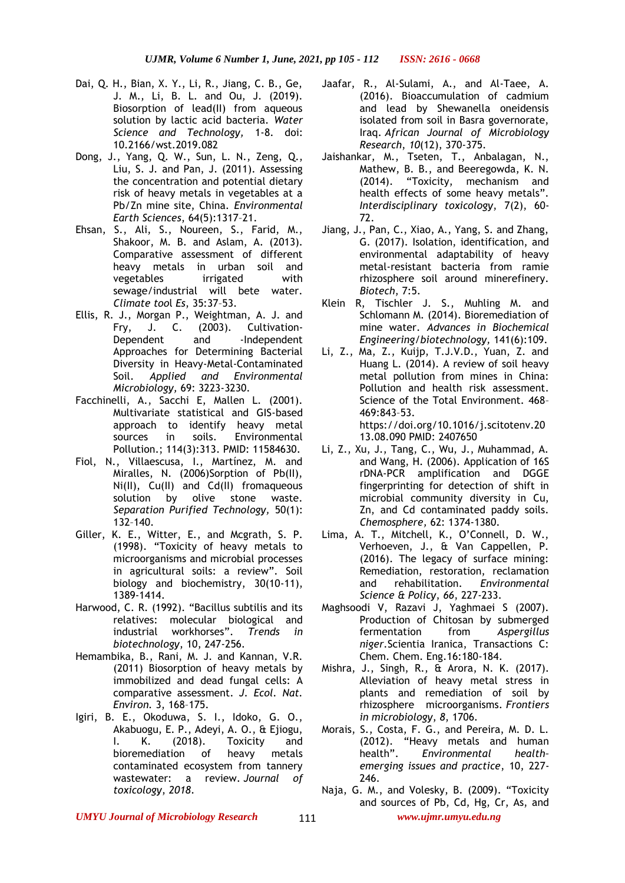- Dai, Q. H., Bian, X. Y., Li, R., Jiang, C. B., Ge, J. M., Li, B. L. and Ou, J. (2019). Biosorption of lead(II) from aqueous solution by lactic acid bacteria. *Water Science and Technology,* 1-8. doi: 10.2166/wst.2019.082
- Dong, J., Yang, Q. W., Sun, L. N., Zeng, Q., Liu, S. J. and Pan, J. (2011). Assessing the concentration and potential dietary risk of heavy metals in vegetables at a Pb/Zn mine site, China. *Environmental Earth Sciences*, 64(5):1317–21.
- Ehsan, S., Ali, S., Noureen, S., Farid, M., Shakoor, M. B. and Aslam, A. (2013). Comparative assessment of different heavy metals in urban soil and vegetables irrigated with sewage/industrial will bete water. *Climate too*l *Es*, 35:37–53.
- Ellis, R. J., Morgan P., Weightman, A. J. and Fry, J. C. (2003). Cultivation-Dependent and -Independent Approaches for Determining Bacterial Diversity in Heavy-Metal-Contaminated Soil. *Applied and Environmental Microbiology,* 69: 3223-3230.
- Facchinelli, A., Sacchi E, Mallen L. (2001). Multivariate statistical and GIS-based approach to identify heavy metal sources in soils. Environmental Pollution.; 114(3):313. PMID: 11584630.
- Fiol, N., Villaescusa, I., Martínez, M. and Miralles, N. (2006)Sorption of Pb(II), Ni(II), Cu(II) and Cd(II) fromaqueous solution by olive stone waste. *Separation Purified Technology,* 50(1): 132–140.
- Giller, K. E., Witter, E., and Mcgrath, S. P. (1998). "Toxicity of heavy metals to microorganisms and microbial processes in agricultural soils: a review". Soil biology and biochemistry, 30(10-11), 1389-1414.
- Harwood, C. R. (1992). "Bacillus subtilis and its relatives: molecular biological and<br>industrial workhorses". Trends in industrial workhorses". *Trends in biotechnology*, 10, 247-256.
- Hemambika, B., Rani, M. J. and Kannan, V.R. (2011) Biosorption of heavy metals by immobilized and dead fungal cells: A comparative assessment. *J. Ecol. Nat. Environ.* 3, 168–175.
- Igiri, B. E., Okoduwa, S. I., Idoko, G. O., Akabuogu, E. P., Adeyi, A. O., & Ejiogu, I. K. (2018). Toxicity and bioremediation of heavy metals contaminated ecosystem from tannery wastewater: a review. *Journal of toxicology*, *2018*.
- Jaafar, R., Al-Sulami, A., and Al-Taee, A. (2016). Bioaccumulation of cadmium and lead by Shewanella oneidensis isolated from soil in Basra governorate, Iraq. *African Journal of Microbiology Research*, *10*(12), 370-375.
- Jaishankar, M., Tseten, T., Anbalagan, N., Mathew, B. B., and Beeregowda, K. N. (2014). "Toxicity, mechanism and health effects of some heavy metals". *Interdisciplinary toxicology*, 7(2), 60- 72.
- Jiang, J., Pan, C., Xiao, A., Yang, S. and Zhang, G. (2017). Isolation, identification, and environmental adaptability of heavy metal-resistant bacteria from ramie rhizosphere soil around minerefinery. *Biotech*, 7:5.
- Klein R, Tischler J. S., Muhling M. and Schlomann M. (2014). Bioremediation of mine water. *Advances in Biochemical Engineering/biotechnology,* 141(6):109.
- Li, Z., Ma, Z., Kuijp, T.J.V.D., Yuan, Z. and Huang L. (2014). A review of soil heavy metal pollution from mines in China: Pollution and health risk assessment. Science of the Total Environment. 468– 469:843–53. https://doi.org/10.1016/j.scitotenv.20 13.08.090 PMID: 2407650
- Li, Z., Xu, J., Tang, C., Wu, J., Muhammad, A. and Wang, H. (2006). Application of 16S rDNA-PCR amplification and DGGE fingerprinting for detection of shift in microbial community diversity in Cu, Zn, and Cd contaminated paddy soils. *Chemosphere,* 62: 1374-1380.
- <span id="page-6-0"></span>Lima, A. T., Mitchell, K., O'Connell, D. W., Verhoeven, J., & Van Cappellen, P. (2016). The legacy of surface mining: Remediation, restoration, reclamation and rehabilitation. *Environmental Science & Policy*, *66*, 227-233.
- Maghsoodi V, Razavi J, Yaghmaei S (2007). Production of Chitosan by submerged fermentation from *Aspergillus niger.*Scientia Iranica, Transactions C: Chem. Chem. Eng.16:180-184.
- Mishra, J., Singh, R., & Arora, N. K. (2017). Alleviation of heavy metal stress in plants and remediation of soil by rhizosphere microorganisms. *Frontiers in microbiology*, *8*, 1706.
- Morais, S., Costa, F. G., and Pereira, M. D. L. (2012). "Heavy metals and human<br>health". Environmental healthhealth". *Environmental health– emerging issues and practice*, 10, 227- 246.
- Naja, G. M., and Volesky, B. (2009). "Toxicity and sources of Pb, Cd, Hg, Cr, As, and

*UMYU Journal of Microbiology Research www.ujmr.umyu.edu.ng*

111